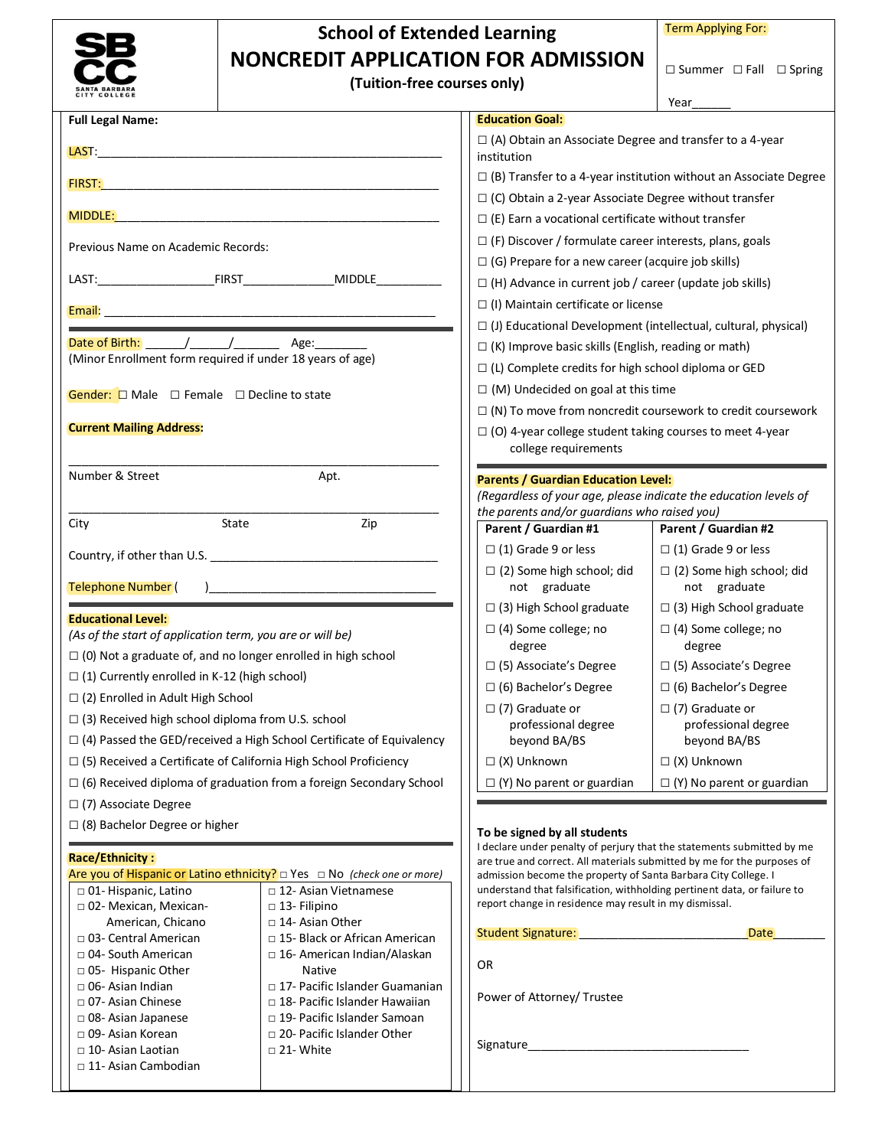|                                                           | <b>School of Extended Learning</b>                                                                          |                                                                                                                                            | <b>Term Applying For:</b>               |  |
|-----------------------------------------------------------|-------------------------------------------------------------------------------------------------------------|--------------------------------------------------------------------------------------------------------------------------------------------|-----------------------------------------|--|
|                                                           | <b>NONCREDIT APPLICATION FOR ADMISSION</b>                                                                  |                                                                                                                                            |                                         |  |
|                                                           | (Tuition-free courses only)                                                                                 |                                                                                                                                            | $\Box$ Summer $\Box$ Fall $\Box$ Spring |  |
| COLLEGE                                                   |                                                                                                             |                                                                                                                                            | Year                                    |  |
| <b>Full Legal Name:</b>                                   |                                                                                                             | <b>Education Goal:</b>                                                                                                                     |                                         |  |
|                                                           |                                                                                                             | $\Box$ (A) Obtain an Associate Degree and transfer to a 4-year<br>institution                                                              |                                         |  |
|                                                           |                                                                                                             | $\Box$ (B) Transfer to a 4-year institution without an Associate Degree                                                                    |                                         |  |
| <b>FIRST:</b>                                             |                                                                                                             | $\Box$ (C) Obtain a 2-year Associate Degree without transfer                                                                               |                                         |  |
|                                                           |                                                                                                             | $\Box$ (E) Earn a vocational certificate without transfer                                                                                  |                                         |  |
| Previous Name on Academic Records:                        |                                                                                                             | $\Box$ (F) Discover / formulate career interests, plans, goals                                                                             |                                         |  |
|                                                           |                                                                                                             | $\Box$ (G) Prepare for a new career (acquire job skills)                                                                                   |                                         |  |
|                                                           |                                                                                                             | $\Box$ (H) Advance in current job / career (update job skills)                                                                             |                                         |  |
| Email:                                                    |                                                                                                             | □ (I) Maintain certificate or license                                                                                                      |                                         |  |
|                                                           |                                                                                                             | $\Box$ (J) Educational Development (intellectual, cultural, physical)                                                                      |                                         |  |
|                                                           | (Minor Enrollment form required if under 18 years of age)                                                   | $\Box$ (K) Improve basic skills (English, reading or math)                                                                                 |                                         |  |
|                                                           |                                                                                                             | $\Box$ (L) Complete credits for high school diploma or GED                                                                                 |                                         |  |
| Gender: $\Box$ Male $\Box$ Female $\Box$ Decline to state |                                                                                                             | $\Box$ (M) Undecided on goal at this time<br>$\Box$ (N) To move from noncredit coursework to credit coursework                             |                                         |  |
| <b>Current Mailing Address:</b>                           |                                                                                                             | $\Box$ (O) 4-year college student taking courses to meet 4-year                                                                            |                                         |  |
|                                                           |                                                                                                             | college requirements                                                                                                                       |                                         |  |
| Number & Street                                           | Apt.                                                                                                        | <b>Parents / Guardian Education Level:</b>                                                                                                 |                                         |  |
|                                                           |                                                                                                             | (Regardless of your age, please indicate the education levels of                                                                           |                                         |  |
| City                                                      | State<br>Zip                                                                                                | the parents and/or guardians who raised you)                                                                                               | Parent / Guardian #2                    |  |
|                                                           |                                                                                                             | Parent / Guardian #1<br>$\Box$ (1) Grade 9 or less                                                                                         | $\Box$ (1) Grade 9 or less              |  |
|                                                           |                                                                                                             | $\Box$ (2) Some high school; did                                                                                                           | $\Box$ (2) Some high school; did        |  |
| <b>Telephone Number</b> (                                 |                                                                                                             | not graduate                                                                                                                               | not graduate                            |  |
| <b>Educational Level:</b>                                 |                                                                                                             | $\Box$ (3) High School graduate                                                                                                            | $\Box$ (3) High School graduate         |  |
| (As of the start of application term, you are or will be) |                                                                                                             | $\Box$ (4) Some college; no                                                                                                                | $\Box$ (4) Some college; no             |  |
|                                                           | $\Box$ (0) Not a graduate of, and no longer enrolled in high school                                         | degree<br>$\square$ (5) Associate's Degree                                                                                                 | degree<br>□ (5) Associate's Degree      |  |
| $\Box$ (1) Currently enrolled in K-12 (high school)       |                                                                                                             | $\Box$ (6) Bachelor's Degree                                                                                                               | $\Box$ (6) Bachelor's Degree            |  |
| □ (2) Enrolled in Adult High School                       |                                                                                                             | $\Box$ (7) Graduate or                                                                                                                     | $\Box$ (7) Graduate or                  |  |
| $\Box$ (3) Received high school diploma from U.S. school  |                                                                                                             | professional degree                                                                                                                        | professional degree                     |  |
|                                                           | $\Box$ (4) Passed the GED/received a High School Certificate of Equivalency                                 | beyond BA/BS                                                                                                                               | beyond BA/BS                            |  |
|                                                           | $\Box$ (5) Received a Certificate of California High School Proficiency                                     | $\Box$ (X) Unknown                                                                                                                         | $\Box$ (X) Unknown                      |  |
|                                                           | $\Box$ (6) Received diploma of graduation from a foreign Secondary School                                   | $\Box$ (Y) No parent or guardian                                                                                                           | $\Box$ (Y) No parent or guardian        |  |
| $\Box$ (7) Associate Degree                               |                                                                                                             |                                                                                                                                            |                                         |  |
| $\Box$ (8) Bachelor Degree or higher                      |                                                                                                             | To be signed by all students<br>I declare under penalty of perjury that the statements submitted by me                                     |                                         |  |
| <b>Race/Ethnicity:</b>                                    |                                                                                                             | are true and correct. All materials submitted by me for the purposes of                                                                    |                                         |  |
| □ 01- Hispanic, Latino                                    | Are you of Hispanic or Latino ethnicity? $\Box$ Yes $\Box$ No (check one or more)<br>□ 12- Asian Vietnamese | admission become the property of Santa Barbara City College. I<br>understand that falsification, withholding pertinent data, or failure to |                                         |  |
| □ 02- Mexican, Mexican-                                   | $\Box$ 13- Filipino                                                                                         | report change in residence may result in my dismissal.                                                                                     |                                         |  |
| American, Chicano                                         | □ 14- Asian Other                                                                                           | Student Signature: _________________                                                                                                       | <b>Date</b>                             |  |
| □ 03- Central American<br>□ 04- South American            | $\Box$ 15- Black or African American<br>□ 16- American Indian/Alaskan                                       |                                                                                                                                            |                                         |  |
| $\Box$ 05- Hispanic Other                                 | <b>Native</b>                                                                                               | OR                                                                                                                                         |                                         |  |
| $\Box$ 06- Asian Indian<br>□ 07- Asian Chinese            | □ 17- Pacific Islander Guamanian<br>□ 18- Pacific Islander Hawaiian                                         | Power of Attorney/ Trustee                                                                                                                 |                                         |  |
| $\Box$ 08- Asian Japanese                                 | □ 19- Pacific Islander Samoan                                                                               |                                                                                                                                            |                                         |  |
| □ 09- Asian Korean<br>□ 10- Asian Laotian                 | □ 20- Pacific Islander Other<br>$\square$ 21- White                                                         |                                                                                                                                            |                                         |  |
| $\Box$ 11- Asian Cambodian                                |                                                                                                             |                                                                                                                                            |                                         |  |
|                                                           |                                                                                                             |                                                                                                                                            |                                         |  |